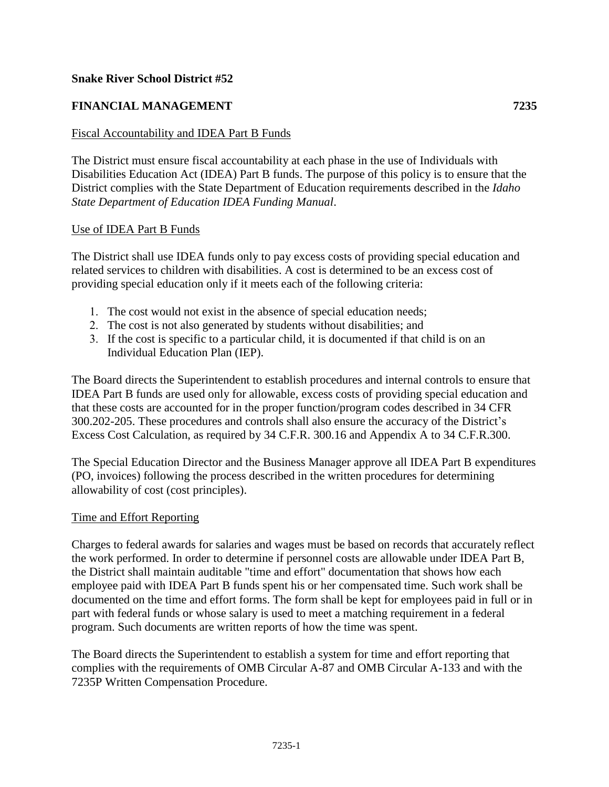# **Snake River School District #52**

# **FINANCIAL MANAGEMENT 7235**

### Fiscal Accountability and IDEA Part B Funds

The District must ensure fiscal accountability at each phase in the use of Individuals with Disabilities Education Act (IDEA) Part B funds. The purpose of this policy is to ensure that the District complies with the State Department of Education requirements described in the *Idaho State Department of Education IDEA Funding Manual*.

### Use of IDEA Part B Funds

The District shall use IDEA funds only to pay excess costs of providing special education and related services to children with disabilities. A cost is determined to be an excess cost of providing special education only if it meets each of the following criteria:

- 1. The cost would not exist in the absence of special education needs;
- 2. The cost is not also generated by students without disabilities; and
- 3. If the cost is specific to a particular child, it is documented if that child is on an Individual Education Plan (IEP).

The Board directs the Superintendent to establish procedures and internal controls to ensure that IDEA Part B funds are used only for allowable, excess costs of providing special education and that these costs are accounted for in the proper function/program codes described in 34 CFR 300.202-205. These procedures and controls shall also ensure the accuracy of the District's Excess Cost Calculation, as required by 34 C.F.R. 300.16 and Appendix A to 34 C.F.R.300.

The Special Education Director and the Business Manager approve all IDEA Part B expenditures (PO, invoices) following the process described in the written procedures for determining allowability of cost (cost principles).

#### Time and Effort Reporting

Charges to federal awards for salaries and wages must be based on records that accurately reflect the work performed. In order to determine if personnel costs are allowable under IDEA Part B, the District shall maintain auditable "time and effort" documentation that shows how each employee paid with IDEA Part B funds spent his or her compensated time. Such work shall be documented on the time and effort forms. The form shall be kept for employees paid in full or in part with federal funds or whose salary is used to meet a matching requirement in a federal program. Such documents are written reports of how the time was spent.

The Board directs the Superintendent to establish a system for time and effort reporting that complies with the requirements of OMB Circular A-87 and OMB Circular A-133 and with the 7235P Written Compensation Procedure.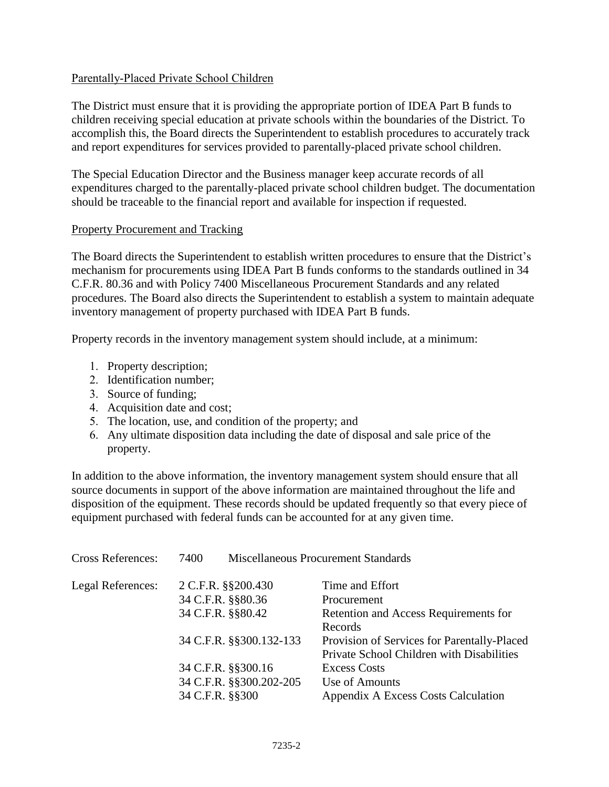## Parentally-Placed Private School Children

The District must ensure that it is providing the appropriate portion of IDEA Part B funds to children receiving special education at private schools within the boundaries of the District. To accomplish this, the Board directs the Superintendent to establish procedures to accurately track and report expenditures for services provided to parentally-placed private school children.

The Special Education Director and the Business manager keep accurate records of all expenditures charged to the parentally-placed private school children budget. The documentation should be traceable to the financial report and available for inspection if requested.

## Property Procurement and Tracking

The Board directs the Superintendent to establish written procedures to ensure that the District's mechanism for procurements using IDEA Part B funds conforms to the standards outlined in 34 C.F.R. 80.36 and with Policy 7400 Miscellaneous Procurement Standards and any related procedures. The Board also directs the Superintendent to establish a system to maintain adequate inventory management of property purchased with IDEA Part B funds.

Property records in the inventory management system should include, at a minimum:

- 1. Property description;
- 2. Identification number;
- 3. Source of funding;
- 4. Acquisition date and cost;
- 5. The location, use, and condition of the property; and
- 6. Any ultimate disposition data including the date of disposal and sale price of the property.

In addition to the above information, the inventory management system should ensure that all source documents in support of the above information are maintained throughout the life and disposition of the equipment. These records should be updated frequently so that every piece of equipment purchased with federal funds can be accounted for at any given time.

| <b>Cross References:</b> | 7400                    | <b>Miscellaneous Procurement Standards</b>  |  |
|--------------------------|-------------------------|---------------------------------------------|--|
| Legal References:        | 2 C.F.R. §§200.430      | Time and Effort                             |  |
|                          | 34 C.F.R. §§80.36       | Procurement                                 |  |
|                          | 34 C.F.R. §§80.42       | Retention and Access Requirements for       |  |
|                          |                         | Records                                     |  |
|                          | 34 C.F.R. §§300.132-133 | Provision of Services for Parentally-Placed |  |
|                          |                         | Private School Children with Disabilities   |  |
|                          | 34 C.F.R. §§300.16      | <b>Excess Costs</b>                         |  |
|                          | 34 C.F.R. §§300.202-205 | Use of Amounts                              |  |
|                          | 34 C.F.R. §§300         | Appendix A Excess Costs Calculation         |  |
|                          |                         |                                             |  |